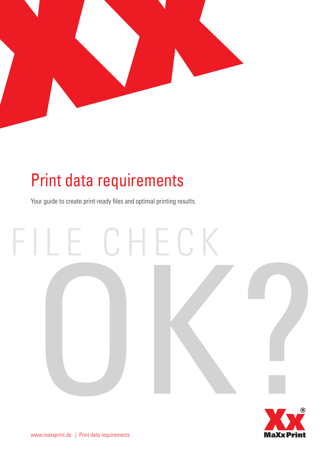

## Print data requirements

Your guide to create print-ready files and optimal printing results.

## FILE CHECK OK?

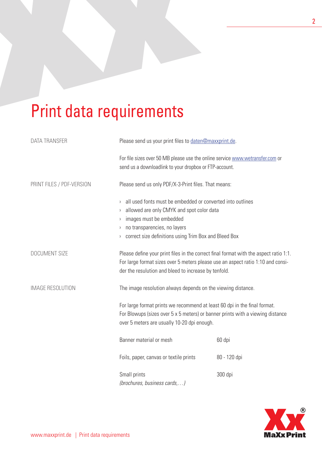## Print data requirements

| <b>DATA TRANSFER</b>      | Please send us your print files to daten@maxxprint.de.                                                                                                                                                                                                                                                            |              |
|---------------------------|-------------------------------------------------------------------------------------------------------------------------------------------------------------------------------------------------------------------------------------------------------------------------------------------------------------------|--------------|
|                           | For file sizes over 50 MB please use the online service www.wetransfer.com or<br>send us a downloadlink to your dropbox or FTP-account.                                                                                                                                                                           |              |
| PRINT FILES / PDF-VERSION | Please send us only PDF/X-3-Print files. That means:<br>all used fonts must be embedded or converted into outlines<br>$\lambda$<br>allowed are only CMYK and spot color data<br>$\rangle$<br>images must be embedded<br>> no transparencies, no layers<br>> correct size definitions using Trim Box and Bleed Box |              |
|                           |                                                                                                                                                                                                                                                                                                                   |              |
| DOCUMENT SIZE             | Please define your print files in the correct final format with the aspect ratio 1:1.<br>For large format sizes over 5 meters please use an aspect ratio 1:10 and consi-<br>der the resulution and bleed to increase by tenfold.                                                                                  |              |
| <b>IMAGE RESOLUTION</b>   | The image resolution always depends on the viewing distance.<br>For large format prints we recommend at least 60 dpi in the final format.<br>For Blowups (sizes over 5 x 5 meters) or banner prints with a viewing distance<br>over 5 meters are usually 10-20 dpi enough.                                        |              |
|                           |                                                                                                                                                                                                                                                                                                                   |              |
|                           | Banner material or mesh                                                                                                                                                                                                                                                                                           | 60 dpi       |
|                           | Foils, paper, canvas or textile prints                                                                                                                                                                                                                                                                            | 80 - 120 dpi |
|                           | Small prints<br>(brochures, business cards,)                                                                                                                                                                                                                                                                      | 300 dpi      |